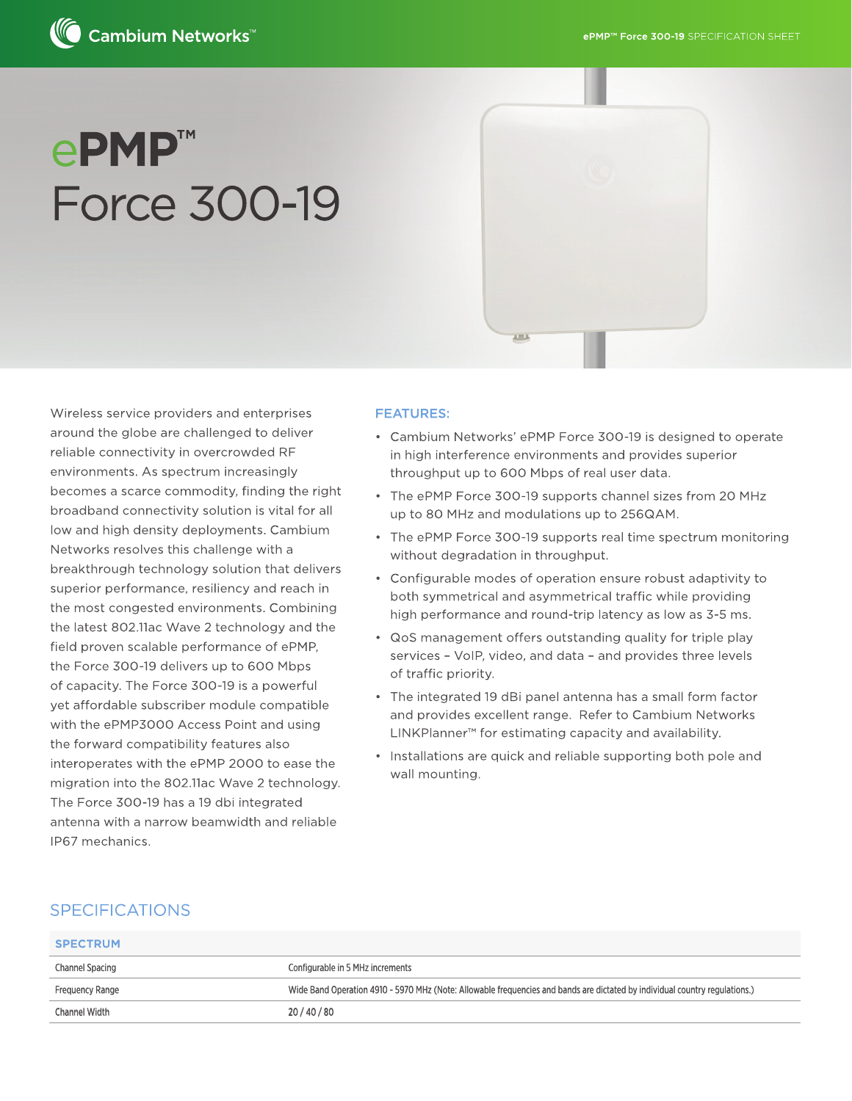# ePMP™ **Force 300-19**

Wireless service providers and enterprises around the globe are challenged to deliver reliable connectivity in overcrowded RF environments. As spectrum increasingly becomes a scarce commodity, finding the right broadband connectivity solution is vital for all low and high density deployments. Cambium Networks resolves this challenge with a breakthrough technology solution that delivers superior performance, resiliency and reach in the most congested environments. Combining the latest 802.11ac Wave 2 technology and the field proven scalable performance of ePMP. the Force 300-19 delivers up to 600 Mbps of capacity. The Force 300-19 is a powerful yet affordable subscriber module compatible with the ePMP3000 Access Point and using the forward compatibility features also interoperates with the ePMP 2000 to ease the migration into the 802.11ac Wave 2 technology. The Force 300-19 has a 19 dbi integrated antenna with a narrow beamwidth and reliable IP67 mechanics.

#### **FEATURES:**

• Cambium Networks' ePMP Force 300-19 is designed to operate in high interference environments and provides superior throughput up to 600 Mbps of real user data.

ama.

- The ePMP Force 300-19 supports channel sizes from 20 MHz up to 80 MHz and modulations up to 256QAM.
- The ePMP Force 300-19 supports real time spectrum monitoring without degradation in throughput.
- Configurable modes of operation ensure robust adaptivity to both symmetrical and asymmetrical traffic while providing high performance and round-trip latency as low as 3-5 ms.
- QoS management offers outstanding quality for triple play services - VoIP, video, and data - and provides three levels of traffic priority.
- The integrated 19 dBi panel antenna has a small form factor and provides excellent range. Refer to Cambium Networks LINKPlanner<sup>™</sup> for estimating capacity and availability.
- Installations are quick and reliable supporting both pole and wall mounting.

### **SPECIFICATIONS**

| <b>SPECTRUM</b> |                                                                                                                             |
|-----------------|-----------------------------------------------------------------------------------------------------------------------------|
| Channel Spacing | Configurable in 5 MHz increments                                                                                            |
| Frequency Range | Wide Band Operation 4910 - 5970 MHz (Note: Allowable frequencies and bands are dictated by individual country regulations.) |
| Channel Width   | 20/40/80                                                                                                                    |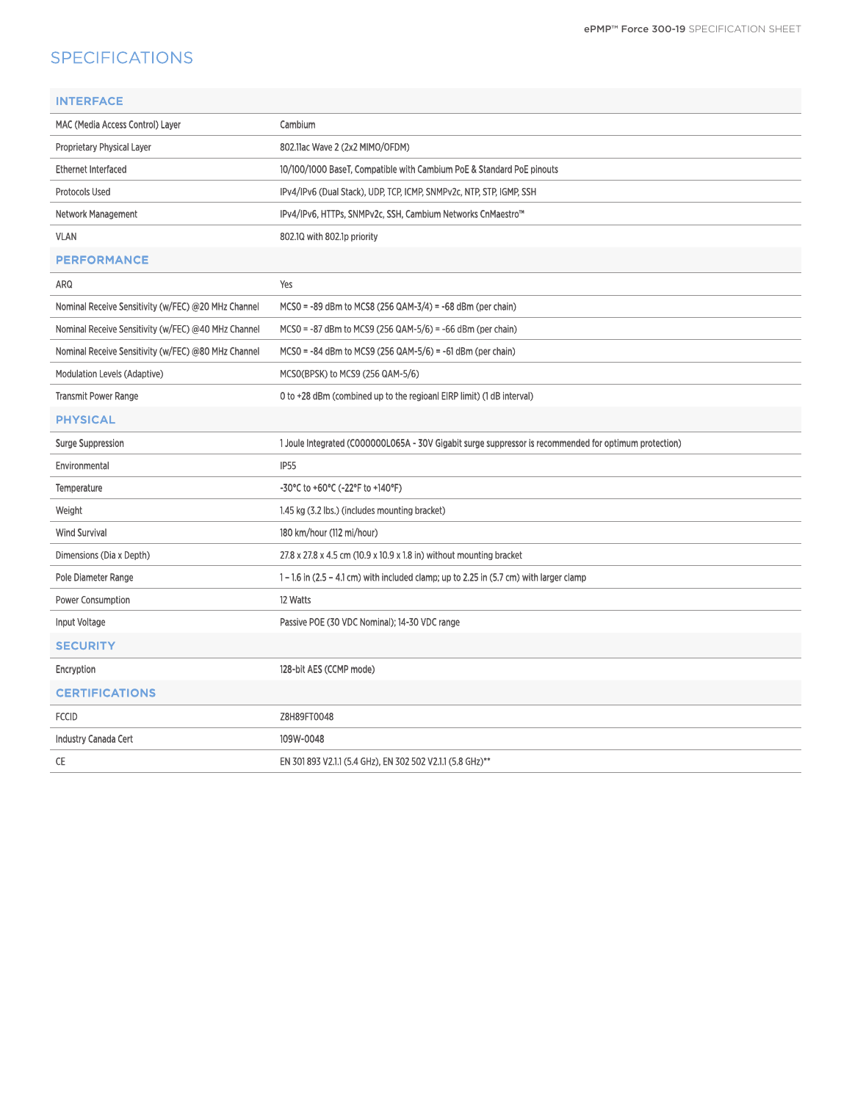# **SPECIFICATIONS**

| <b>INTERFACE</b> |  |  |
|------------------|--|--|
|                  |  |  |
|                  |  |  |

| MAC (Media Access Control) Layer                    | Cambium                                                                                                |
|-----------------------------------------------------|--------------------------------------------------------------------------------------------------------|
| Proprietary Physical Layer                          | 802.11ac Wave 2 (2x2 MIMO/OFDM)                                                                        |
| Ethernet Interfaced                                 | 10/100/1000 BaseT, Compatible with Cambium PoE & Standard PoE pinouts                                  |
| Protocols Used                                      | IPv4/IPv6 (Dual Stack), UDP, TCP, ICMP, SNMPv2c, NTP, STP, IGMP, SSH                                   |
| Network Management                                  | IPv4/IPv6, HTTPs, SNMPv2c, SSH, Cambium Networks CnMaestro™                                            |
| <b>VLAN</b>                                         | 802.10 with 802.1p priority                                                                            |
| <b>PERFORMANCE</b>                                  |                                                                                                        |
| ARQ                                                 | Yes                                                                                                    |
| Nominal Receive Sensitivity (w/FEC) @20 MHz Channel | $MCSO = -89$ dBm to MCS8 (256 QAM-3/4) = -68 dBm (per chain)                                           |
| Nominal Receive Sensitivity (w/FEC) @40 MHz Channel | $MCSO = -87$ dBm to MCS9 (256 QAM-5/6) = -66 dBm (per chain)                                           |
| Nominal Receive Sensitivity (w/FEC) @80 MHz Channel | $MCSO = -84$ dBm to MCS9 (256 QAM-5/6) = -61 dBm (per chain)                                           |
| Modulation Levels (Adaptive)                        | MCSO(BPSK) to MCS9 (256 QAM-5/6)                                                                       |
| <b>Transmit Power Range</b>                         | O to +28 dBm (combined up to the regioanl EIRP limit) (1 dB interval)                                  |
| <b>PHYSICAL</b>                                     |                                                                                                        |
| Surge Suppression                                   | 1 Joule Integrated (C000000L065A - 30V Gigabit surge suppressor is recommended for optimum protection) |
| Environmental                                       | IP <sub>55</sub>                                                                                       |
| Temperature                                         | -30°C to +60°C (-22°F to +140°F)                                                                       |
| Weight                                              | 1.45 kg (3.2 lbs.) (includes mounting bracket)                                                         |
| <b>Wind Survival</b>                                | 180 km/hour (112 mi/hour)                                                                              |
| Dimensions (Dia x Depth)                            | 27.8 x 27.8 x 4.5 cm (10.9 x 10.9 x 1.8 in) without mounting bracket                                   |
| Pole Diameter Range                                 | $1 - 1.6$ in (2.5 – 4.1 cm) with included clamp; up to 2.25 in (5.7 cm) with larger clamp              |
| Power Consumption                                   | 12 Watts                                                                                               |
| Input Voltage                                       | Passive POE (30 VDC Nominal); 14-30 VDC range                                                          |
| <b>SECURITY</b>                                     |                                                                                                        |
| Encryption                                          | 128-bit AES (CCMP mode)                                                                                |
| <b>CERTIFICATIONS</b>                               |                                                                                                        |
| <b>FCCID</b>                                        | Z8H89FT0048                                                                                            |
| Industry Canada Cert                                | 109W-0048                                                                                              |
| CE                                                  | EN 301 893 V2.1.1 (5.4 GHz), EN 302 502 V2.1.1 (5.8 GHz)**                                             |